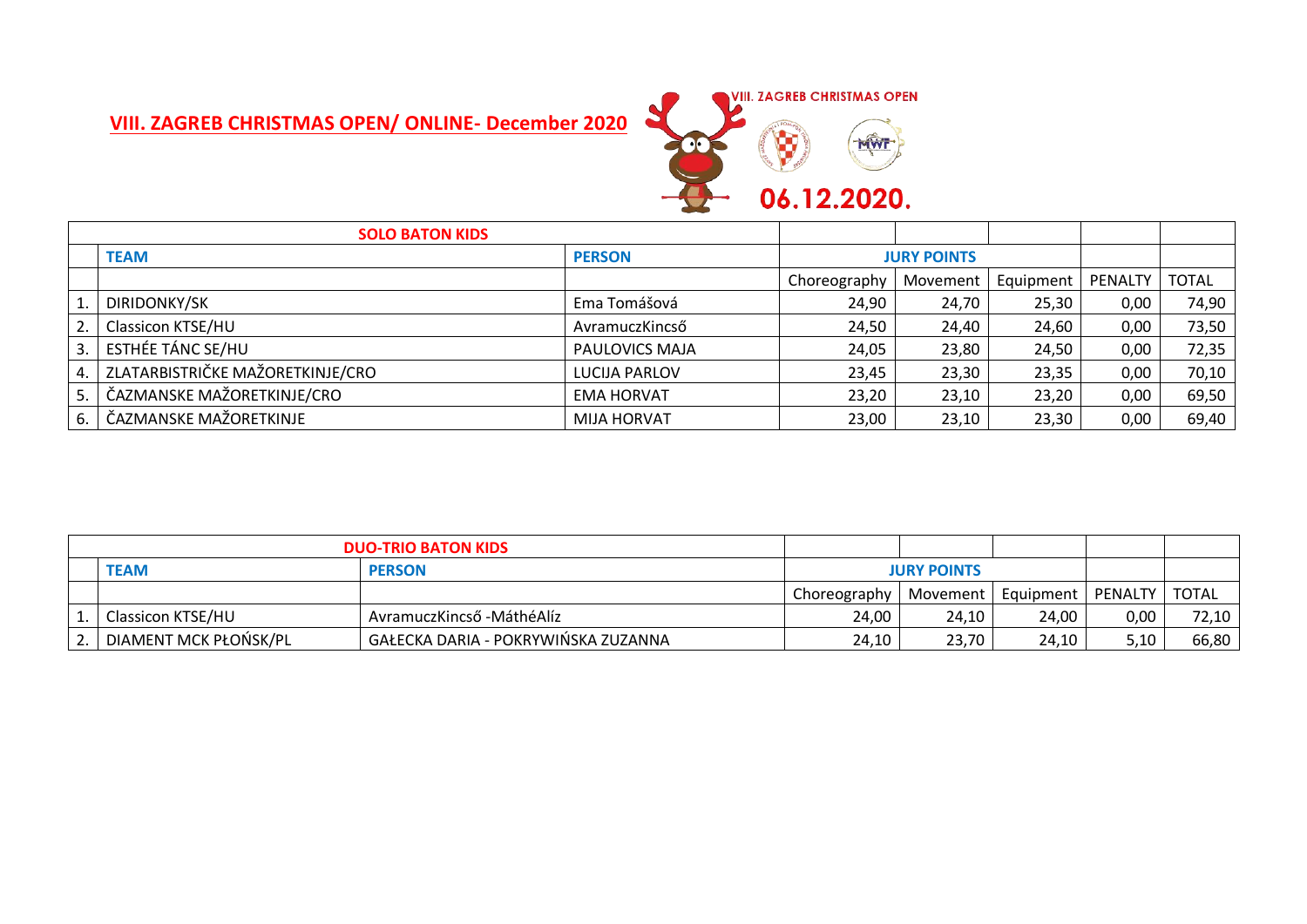## **VIII. ZAGREB CHRISTMAS OPEN/ ONLINE- December 2020**



|    | <b>SOLO BATON KIDS</b>           |                    |                    |          |           |                |              |
|----|----------------------------------|--------------------|--------------------|----------|-----------|----------------|--------------|
|    | <b>TEAM</b>                      | <b>PERSON</b>      | <b>JURY POINTS</b> |          |           |                |              |
|    |                                  |                    | Choreography       | Movement | Equipment | <b>PENALTY</b> | <b>TOTAL</b> |
|    | DIRIDONKY/SK                     | Ema Tomášová       | 24,90              | 24,70    | 25,30     | 0,00           | 74,90        |
| 2. | Classicon KTSE/HU                | AvramuczKincső     | 24,50              | 24,40    | 24,60     | 0,00           | 73,50        |
| 3. | ESTHÉE TÁNC SE/HU                | PAULOVICS MAJA     | 24,05              | 23,80    | 24,50     | 0,00           | 72,35        |
| 4. | ZLATARBISTRIČKE MAŽORETKINJE/CRO | LUCIJA PARLOV      | 23,45              | 23,30    | 23,35     | 0,00           | 70,10        |
| 5. | ČAZMANSKE MAŽORETKINJE/CRO       | <b>EMA HORVAT</b>  | 23,20              | 23,10    | 23,20     | 0,00           | 69,50        |
| 6. | ČAZMANSKE MAŽORETKINJE           | <b>MIJA HORVAT</b> | 23,00              | 23,10    | 23,30     | 0,00           | 69,40        |

| <b>DUO-TRIO BATON KIDS</b> |                                     |                    |          |                     |      |       |
|----------------------------|-------------------------------------|--------------------|----------|---------------------|------|-------|
| <b>TEAM</b>                | <b>PERSON</b>                       | <b>JURY POINTS</b> |          |                     |      |       |
|                            |                                     | Choreography       | Movement | Equipment   PENALTY |      | TOTAL |
| Classicon KTSE/HU          | AvramuczKincső - Máthé Alíz         | 24.00              | 24.10    | 24,00               | 0,00 | 72,10 |
| DIAMENT MCK PŁOŃSK/PL      | GAŁECKA DARIA - POKRYWINSKA ZUZANNA | 24,10              | 23,70    | 24,10               | 5,10 | 66,80 |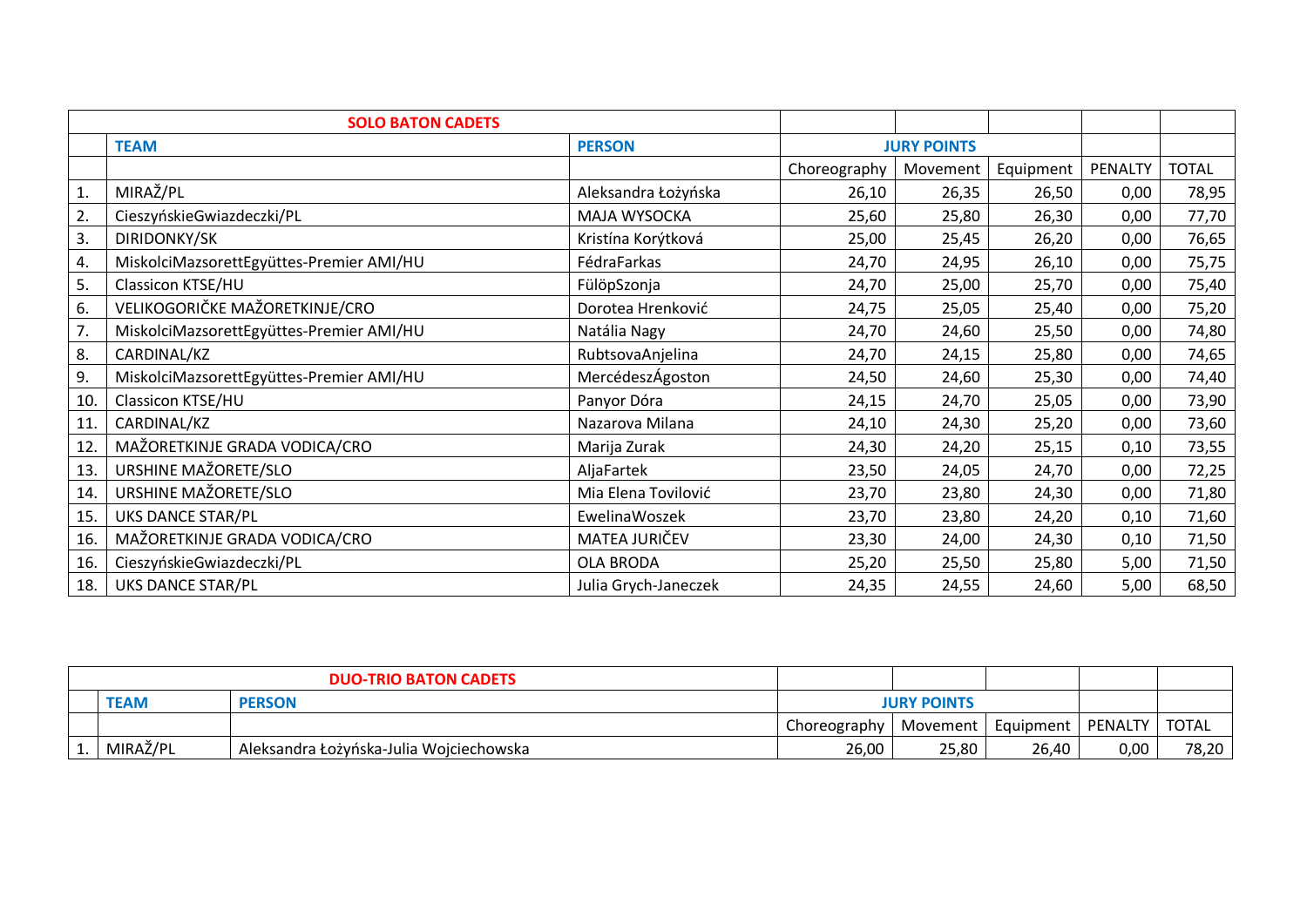|     | <b>SOLO BATON CADETS</b>                 |                      |                    |          |           |         |              |
|-----|------------------------------------------|----------------------|--------------------|----------|-----------|---------|--------------|
|     | <b>TEAM</b>                              | <b>PERSON</b>        | <b>JURY POINTS</b> |          |           |         |              |
|     |                                          |                      | Choreography       | Movement | Equipment | PENALTY | <b>TOTAL</b> |
| 1.  | MIRAŽ/PL                                 | Aleksandra Łożyńska  | 26,10              | 26,35    | 26,50     | 0,00    | 78,95        |
| 2.  | CieszyńskieGwiazdeczki/PL                | MAJA WYSOCKA         | 25,60              | 25,80    | 26,30     | 0,00    | 77,70        |
| 3.  | DIRIDONKY/SK                             | Kristína Korýtková   | 25,00              | 25,45    | 26,20     | 0,00    | 76,65        |
| 4.  | MiskolciMazsorettEgyüttes-Premier AMI/HU | FédraFarkas          | 24,70              | 24,95    | 26,10     | 0,00    | 75,75        |
| 5.  | Classicon KTSE/HU                        | FülöpSzonja          | 24,70              | 25,00    | 25,70     | 0,00    | 75,40        |
| 6.  | VELIKOGORIČKE MAŽORETKINJE/CRO           | Dorotea Hrenković    | 24,75              | 25,05    | 25,40     | 0,00    | 75,20        |
| 7.  | MiskolciMazsorettEgyüttes-Premier AMI/HU | Natália Nagy         | 24,70              | 24,60    | 25,50     | 0,00    | 74,80        |
| 8.  | CARDINAL/KZ                              | RubtsovaAnjelina     | 24,70              | 24,15    | 25,80     | 0,00    | 74,65        |
| 9.  | MiskolciMazsorettEgyüttes-Premier AMI/HU | MercédeszÁgoston     | 24,50              | 24,60    | 25,30     | 0,00    | 74,40        |
| 10. | Classicon KTSE/HU                        | Panyor Dóra          | 24,15              | 24,70    | 25,05     | 0,00    | 73,90        |
| 11. | CARDINAL/KZ                              | Nazarova Milana      | 24,10              | 24,30    | 25,20     | 0,00    | 73,60        |
| 12. | MAŽORETKINJE GRADA VODICA/CRO            | Marija Zurak         | 24,30              | 24,20    | 25,15     | 0,10    | 73,55        |
| 13. | URSHINE MAŽORETE/SLO                     | AljaFartek           | 23,50              | 24,05    | 24,70     | 0,00    | 72,25        |
| 14. | URSHINE MAŽORETE/SLO                     | Mia Elena Tovilović  | 23,70              | 23,80    | 24,30     | 0,00    | 71,80        |
| 15. | UKS DANCE STAR/PL                        | EwelinaWoszek        | 23,70              | 23,80    | 24,20     | 0,10    | 71,60        |
| 16. | MAŽORETKINJE GRADA VODICA/CRO            | MATEA JURIČEV        | 23,30              | 24,00    | 24,30     | 0,10    | 71,50        |
| 16. | CieszyńskieGwiazdeczki/PL                | OLA BRODA            | 25,20              | 25,50    | 25,80     | 5,00    | 71,50        |
| 18. | UKS DANCE STAR/PL                        | Julia Grych-Janeczek | 24,35              | 24,55    | 24,60     | 5,00    | 68,50        |

| <b>DUO-TRIO BATON CADETS</b> |                                         |                    |                                |       |      |              |
|------------------------------|-----------------------------------------|--------------------|--------------------------------|-------|------|--------------|
| <b>TEAM</b>                  | <b>PERSON</b>                           | <b>JURY POINTS</b> |                                |       |      |              |
|                              |                                         | Choreography       | Movement   Equipment   PENALTY |       |      | <b>TOTAL</b> |
| MIRAŽ/PL                     | Aleksandra Łożyńska-Julia Wojciechowska | 26,00              | 25,80                          | 26,40 | 0,00 | 78,20        |